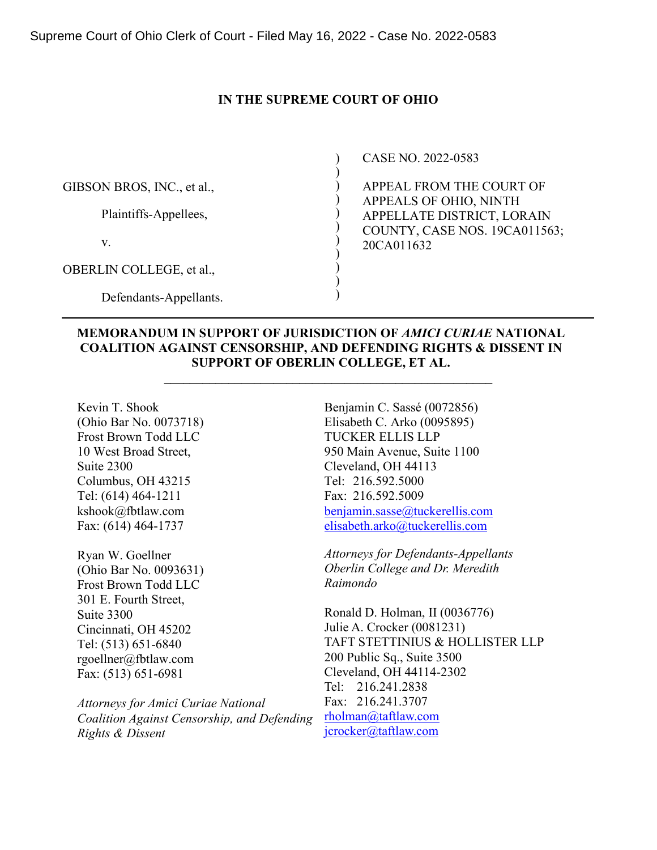## **IN THE SUPREME COURT OF OHIO**

|                            | CASE NO. 2022-0583            |
|----------------------------|-------------------------------|
|                            |                               |
| GIBSON BROS, INC., et al., | APPEAL FROM THE COURT OF      |
|                            | APPEALS OF OHIO, NINTH        |
| Plaintiffs-Appellees,      | APPELLATE DISTRICT, LORAIN    |
|                            | COUNTY, CASE NOS. 19CA011563; |
| V.                         | 20CA011632                    |
|                            |                               |
| OBERLIN COLLEGE, et al.,   |                               |
|                            |                               |
| Defendants-Appellants.     |                               |

## **MEMORANDUM IN SUPPORT OF JURISDICTION OF** *AMICI CURIAE* **NATIONAL COALITION AGAINST CENSORSHIP, AND DEFENDING RIGHTS & DISSENT IN SUPPORT OF OBERLIN COLLEGE, ET AL.**

**\_\_\_\_\_\_\_\_\_\_\_\_\_\_\_\_\_\_\_\_\_\_\_\_\_\_\_\_\_\_\_\_\_\_\_\_\_\_\_\_\_\_\_\_\_\_\_\_\_\_\_** 

Kevin T. Shook (Ohio Bar No. 0073718) Frost Brown Todd LLC 10 West Broad Street, Suite 2300 Columbus, OH 43215 Tel: (614) 464-1211 kshook@fbtlaw.com Fax: (614) 464-1737

Ryan W. Goellner (Ohio Bar No. 0093631) Frost Brown Todd LLC 301 E. Fourth Street, Suite 3300 Cincinnati, OH 45202 Tel: (513) 651-6840 rgoellner@fbtlaw.com Fax: (513) 651-6981

*Attorneys for Amici Curiae National Coalition Against Censorship, and Defending Rights & Dissent* 

Benjamin C. Sassé (0072856) Elisabeth C. Arko (0095895) TUCKER ELLIS LLP 950 Main Avenue, Suite 1100 Cleveland, OH 44113 Tel: 216.592.5000 Fax: 216.592.5009 [benjamin.sasse@tuckerellis.com](mailto:benjamin.sasse@tuckerellis.com) [elisabeth.arko@tuckerellis.com](mailto:elisabeth.arko@tuckerellis.com)

*Attorneys for Defendants-Appellants Oberlin College and Dr. Meredith Raimondo* 

Ronald D. Holman, II (0036776) Julie A. Crocker (0081231) TAFT STETTINIUS & HOLLISTER LLP 200 Public Sq., Suite 3500 Cleveland, OH 44114-2302 Tel: 216.241.2838 Fax: 216.241.3707 [rholman@taftlaw.com](mailto:rholman@taftlaw.com)  [jcrocker@taftlaw.com](mailto:jcrocker@taftlaw.com)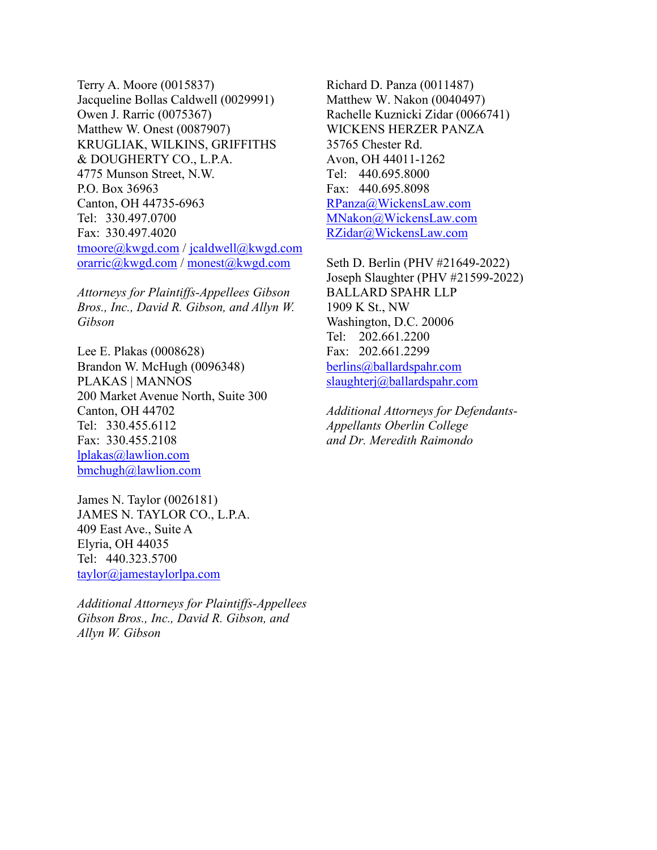Terry A. Moore (0015837) Jacqueline Bollas Caldwell (0029991) Owen J. Rarric (0075367) Matthew W. Onest (0087907) KRUGLIAK, WILKINS, GRIFFITHS & DOUGHERTY CO., L.P.A. 4775 Munson Street, N.W. P.O. Box 36963 Canton, OH 44735-6963 Tel: 330.497.0700 Fax: 330.497.4020 [tmoore@kwgd.com](mailto:tmoore@kwgd.com) / [jcaldwell@kwgd.com](mailto:jcaldwell@kwgd.com)  [orarric@kwgd.com](mailto:orarric@kwgd.com) / [monest@kwgd.com](mailto:monest@kwgd.com) 

*Attorneys for Plaintiffs-Appellees Gibson Bros., Inc., David R. Gibson, and Allyn W. Gibson*

Lee E. Plakas (0008628) Brandon W. McHugh (0096348) PLAKAS | MANNOS 200 Market Avenue North, Suite 300 Canton, OH 44702 Tel: 330.455.6112 Fax: 330.455.2108 [lplakas@lawlion.com](mailto:lplakas@lawlion.com)  [bmchugh@lawlion.com](mailto:bmchugh@lawlion.com) 

James N. Taylor (0026181) JAMES N. TAYLOR CO., L.P.A. 409 East Ave., Suite A Elyria, OH 44035 Tel: 440.323.5700 [taylor@jamestaylorlpa.com](mailto:taylor@jamestaylorlpa.com)

*Additional Attorneys for Plaintiffs-Appellees Gibson Bros., Inc., David R. Gibson, and Allyn W. Gibson*

Richard D. Panza (0011487) Matthew W. Nakon (0040497) Rachelle Kuznicki Zidar (0066741) WICKENS HERZER PANZA 35765 Chester Rd. Avon, OH 44011-1262 Tel: 440.695.8000 Fax: 440.695.8098 [RPanza@WickensLaw.com](mailto:RPanza@WickensLaw.com)  [MNakon@WickensLaw.com](mailto:MNakon@WickensLaw.com)  [RZidar@WickensLaw.com](mailto:RZidar@WickensLaw.com) 

Seth D. Berlin (PHV #21649-2022) Joseph Slaughter (PHV #21599-2022) BALLARD SPAHR LLP 1909 K St., NW Washington, D.C. 20006 Tel: 202.661.2200 Fax: 202.661.2299 [berlins@ballardspahr.com](mailto:berlins@ballardspahr.com)  [slaughterj@ballardspahr.com](mailto:slaughterj@ballardspahr.com)

*Additional Attorneys for Defendants-Appellants Oberlin College and Dr. Meredith Raimondo*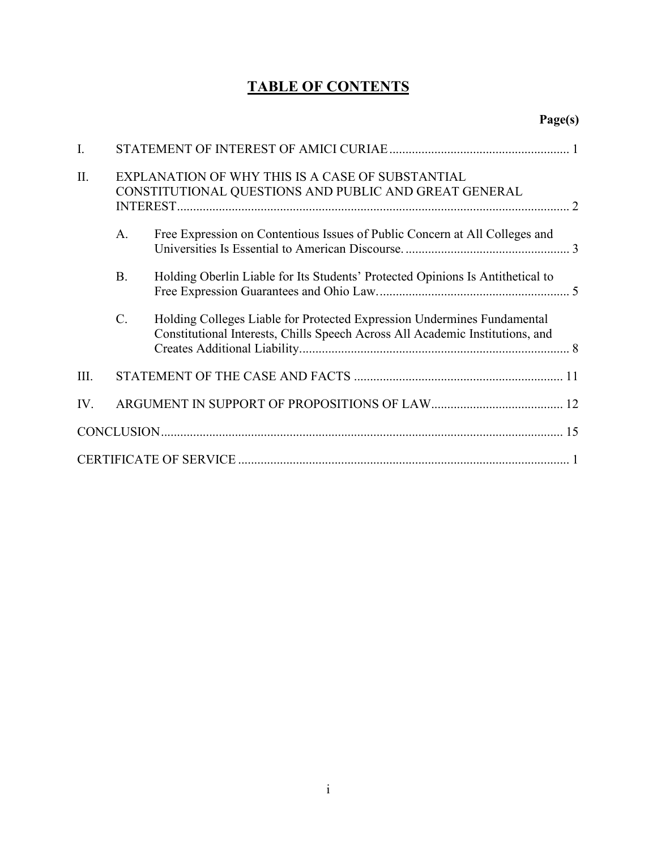# **TABLE OF CONTENTS**

| I.   |                                                                                                           |                                                                                                                                                          |  |
|------|-----------------------------------------------------------------------------------------------------------|----------------------------------------------------------------------------------------------------------------------------------------------------------|--|
| Π.   | EXPLANATION OF WHY THIS IS A CASE OF SUBSTANTIAL<br>CONSTITUTIONAL QUESTIONS AND PUBLIC AND GREAT GENERAL |                                                                                                                                                          |  |
|      | A.                                                                                                        | Free Expression on Contentious Issues of Public Concern at All Colleges and                                                                              |  |
|      | <b>B.</b>                                                                                                 | Holding Oberlin Liable for Its Students' Protected Opinions Is Antithetical to                                                                           |  |
|      | C.                                                                                                        | Holding Colleges Liable for Protected Expression Undermines Fundamental<br>Constitutional Interests, Chills Speech Across All Academic Institutions, and |  |
| III. |                                                                                                           |                                                                                                                                                          |  |
| IV.  |                                                                                                           |                                                                                                                                                          |  |
|      |                                                                                                           |                                                                                                                                                          |  |
|      |                                                                                                           |                                                                                                                                                          |  |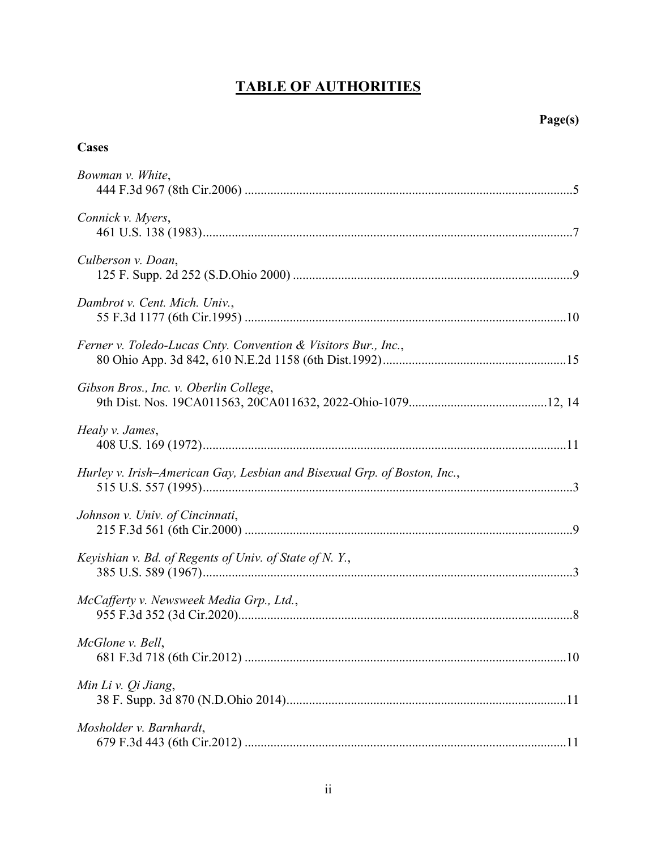# **TABLE OF AUTHORITIES**

# **Cases**

| Bowman v. White,                                                         |
|--------------------------------------------------------------------------|
| Connick v. Myers,                                                        |
| Culberson v. Doan,                                                       |
| Dambrot v. Cent. Mich. Univ.,                                            |
| Ferner v. Toledo-Lucas Cnty. Convention & Visitors Bur., Inc.,           |
| Gibson Bros., Inc. v. Oberlin College,                                   |
| Healy v. James,                                                          |
| Hurley v. Irish-American Gay, Lesbian and Bisexual Grp. of Boston, Inc., |
| Johnson v. Univ. of Cincinnati,                                          |
| Keyishian v. Bd. of Regents of Univ. of State of N.Y.,                   |
| McCafferty v. Newsweek Media Grp., Ltd.,                                 |
| McGlone v. Bell,                                                         |
| Min Li v. Qi Jiang,                                                      |
| Mosholder v. Barnhardt,                                                  |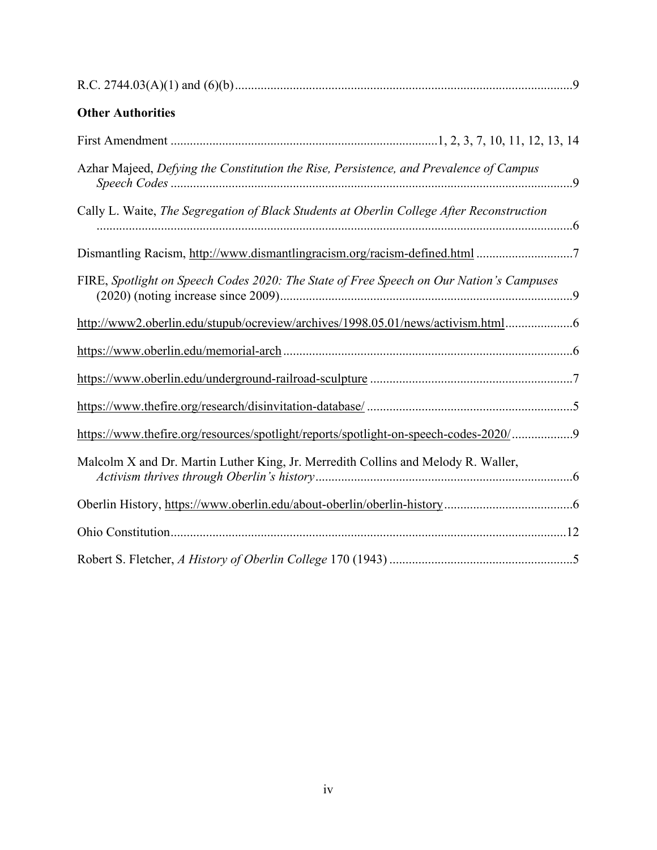| <b>Other Authorities</b>                                                                  |
|-------------------------------------------------------------------------------------------|
|                                                                                           |
| Azhar Majeed, Defying the Constitution the Rise, Persistence, and Prevalence of Campus    |
| Cally L. Waite, The Segregation of Black Students at Oberlin College After Reconstruction |
|                                                                                           |
| FIRE, Spotlight on Speech Codes 2020: The State of Free Speech on Our Nation's Campuses   |
| http://www2.oberlin.edu/stupub/ocreview/archives/1998.05.01/news/activism.html            |
|                                                                                           |
|                                                                                           |
|                                                                                           |
| https://www.thefire.org/resources/spotlight/reports/spotlight-on-speech-codes-2020/9      |
| Malcolm X and Dr. Martin Luther King, Jr. Merredith Collins and Melody R. Waller,         |
|                                                                                           |
|                                                                                           |
|                                                                                           |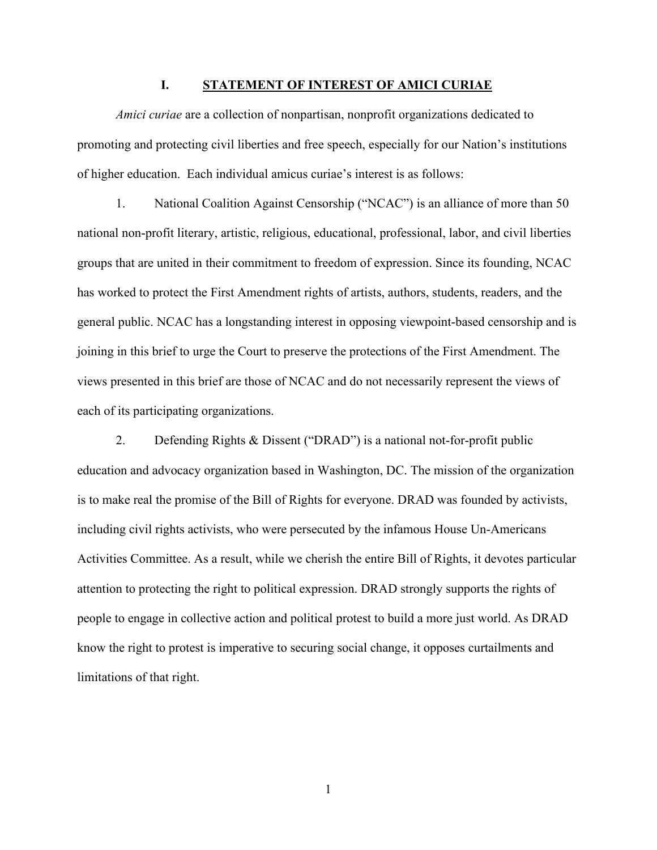#### **I. STATEMENT OF INTEREST OF AMICI CURIAE**

<span id="page-6-0"></span>*Amici curiae* are a collection of nonpartisan, nonprofit organizations dedicated to promoting and protecting civil liberties and free speech, especially for our Nation's institutions of higher education. Each individual amicus curiae's interest is as follows:

<span id="page-6-1"></span>1. National Coalition Against Censorship ("NCAC") is an alliance of more than 50 national non-profit literary, artistic, religious, educational, professional, labor, and civil liberties groups that are united in their commitment to freedom of expression. Since its founding, NCAC has worked to protect the First Amendment rights of artists, authors, students, readers, and the general public. NCAC has a longstanding interest in opposing viewpoint-based censorship and is joining in this brief to urge the Court to preserve the protections of the First Amendment. The views presented in this brief are those of NCAC and do not necessarily represent the views of each of its participating organizations.

2. Defending Rights & Dissent ("DRAD") is a national not-for-profit public education and advocacy organization based in Washington, DC. The mission of the organization is to make real the promise of the Bill of Rights for everyone. DRAD was founded by activists, including civil rights activists, who were persecuted by the infamous House Un-Americans Activities Committee. As a result, while we cherish the entire Bill of Rights, it devotes particular attention to protecting the right to political expression. DRAD strongly supports the rights of people to engage in collective action and political protest to build a more just world. As DRAD know the right to protest is imperative to securing social change, it opposes curtailments and limitations of that right.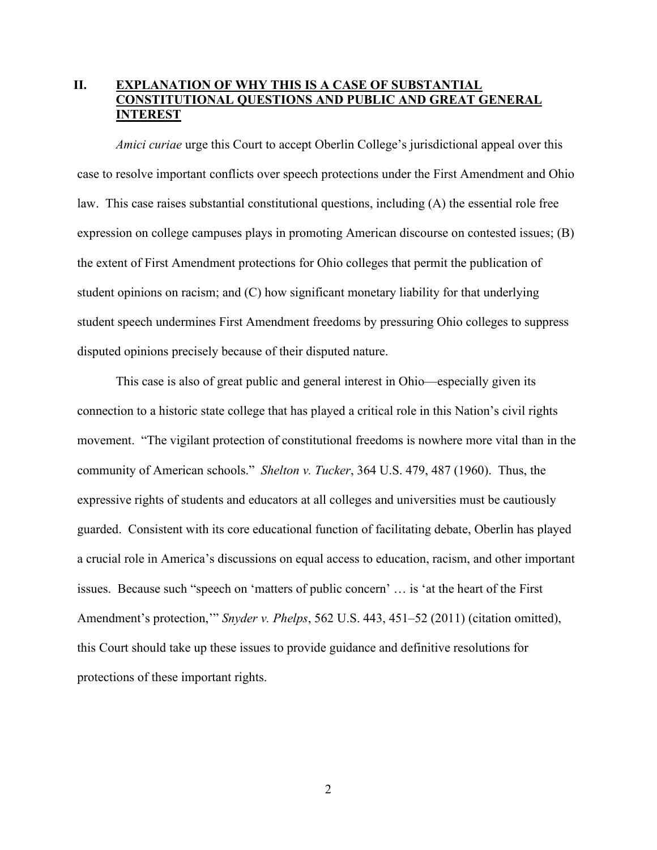# <span id="page-7-0"></span>**II. EXPLANATION OF WHY THIS IS A CASE OF SUBSTANTIAL CONSTITUTIONAL QUESTIONS AND PUBLIC AND GREAT GENERAL INTEREST**

<span id="page-7-3"></span>*Amici curiae* urge this Court to accept Oberlin College's jurisdictional appeal over this case to resolve important conflicts over speech protections under the First Amendment and Ohio law. This case raises substantial constitutional questions, including (A) the essential role free expression on college campuses plays in promoting American discourse on contested issues; (B) the extent of First Amendment protections for Ohio colleges that permit the publication of student opinions on racism; and (C) how significant monetary liability for that underlying student speech undermines First Amendment freedoms by pressuring Ohio colleges to suppress disputed opinions precisely because of their disputed nature.

<span id="page-7-2"></span><span id="page-7-1"></span>This case is also of great public and general interest in Ohio—especially given its connection to a historic state college that has played a critical role in this Nation's civil rights movement. "The vigilant protection of constitutional freedoms is nowhere more vital than in the community of American schools." *Shelton v. Tucker*, 364 U.S. 479, 487 (1960). Thus, the expressive rights of students and educators at all colleges and universities must be cautiously guarded. Consistent with its core educational function of facilitating debate, Oberlin has played a crucial role in America's discussions on equal access to education, racism, and other important issues. Because such "speech on 'matters of public concern' … is 'at the heart of the First Amendment's protection,'" *Snyder v. Phelps*, 562 U.S. 443, 451–52 (2011) (citation omitted), this Court should take up these issues to provide guidance and definitive resolutions for protections of these important rights.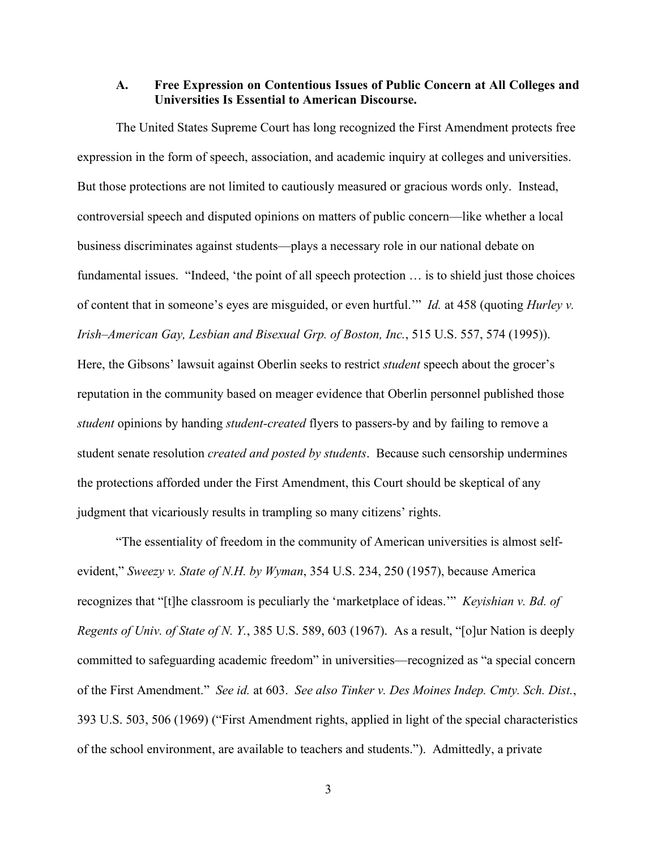## <span id="page-8-6"></span><span id="page-8-3"></span><span id="page-8-1"></span><span id="page-8-0"></span>**A. Free Expression on Contentious Issues of Public Concern at All Colleges and Universities Is Essential to American Discourse.**

The United States Supreme Court has long recognized the First Amendment protects free expression in the form of speech, association, and academic inquiry at colleges and universities. But those protections are not limited to cautiously measured or gracious words only. Instead, controversial speech and disputed opinions on matters of public concern—like whether a local business discriminates against students—plays a necessary role in our national debate on fundamental issues. "Indeed, 'the point of all speech protection … is to shield just those choices of content that in someone's eyes are misguided, or even hurtful.'" *Id.* at 458 (quoting *Hurley v. Irish–American Gay, Lesbian and Bisexual Grp. of Boston, Inc.*, 515 U.S. 557, 574 (1995)). Here, the Gibsons' lawsuit against Oberlin seeks to restrict *student* speech about the grocer's reputation in the community based on meager evidence that Oberlin personnel published those *student* opinions by handing *student-created* flyers to passers-by and by failing to remove a student senate resolution *created and posted by students*. Because such censorship undermines the protections afforded under the First Amendment, this Court should be skeptical of any judgment that vicariously results in trampling so many citizens' rights.

<span id="page-8-5"></span><span id="page-8-4"></span><span id="page-8-2"></span>"The essentiality of freedom in the community of American universities is almost selfevident," *Sweezy v. State of N.H. by Wyman*, 354 U.S. 234, 250 (1957), because America recognizes that "[t]he classroom is peculiarly the 'marketplace of ideas.'" *Keyishian v. Bd. of Regents of Univ. of State of N. Y.*, 385 U.S. 589, 603 (1967). As a result, "[o]ur Nation is deeply committed to safeguarding academic freedom" in universities—recognized as "a special concern of the First Amendment." *See id.* at 603. *See also Tinker v. Des Moines Indep. Cmty. Sch. Dist.*, 393 U.S. 503, 506 (1969) ("First Amendment rights, applied in light of the special characteristics of the school environment, are available to teachers and students."). Admittedly, a private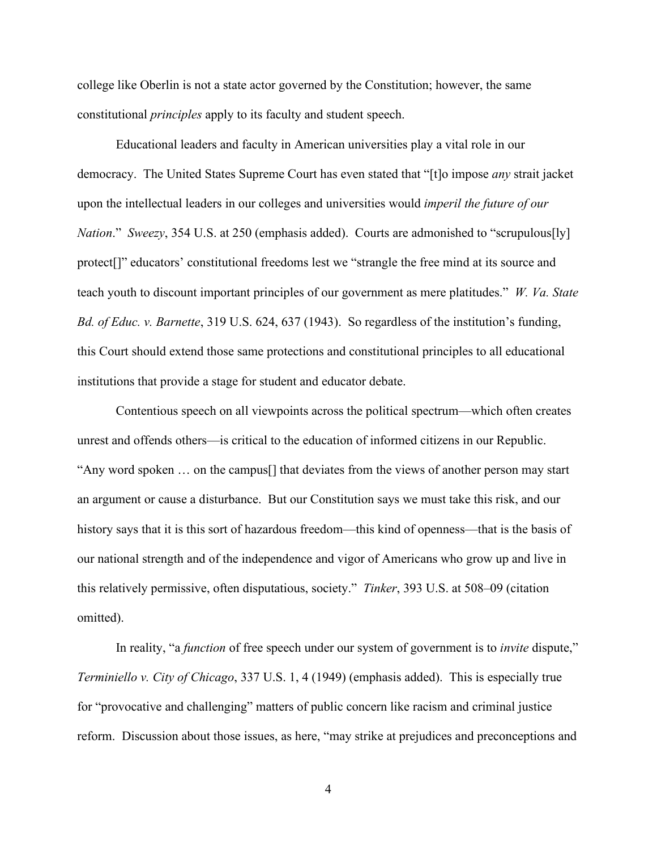college like Oberlin is not a state actor governed by the Constitution; however, the same constitutional *principles* apply to its faculty and student speech.

<span id="page-9-0"></span>Educational leaders and faculty in American universities play a vital role in our democracy. The United States Supreme Court has even stated that "[t]o impose *any* strait jacket upon the intellectual leaders in our colleges and universities would *imperil the future of our Nation*." *Sweezy*, 354 U.S. at 250 (emphasis added). Courts are admonished to "scrupulous[ly] protect[]" educators' constitutional freedoms lest we "strangle the free mind at its source and teach youth to discount important principles of our government as mere platitudes." *W. Va. State Bd. of Educ. v. Barnette*, 319 U.S. 624, 637 (1943). So regardless of the institution's funding, this Court should extend those same protections and constitutional principles to all educational institutions that provide a stage for student and educator debate.

<span id="page-9-3"></span>Contentious speech on all viewpoints across the political spectrum—which often creates unrest and offends others—is critical to the education of informed citizens in our Republic. "Any word spoken … on the campus[] that deviates from the views of another person may start an argument or cause a disturbance. But our Constitution says we must take this risk, and our history says that it is this sort of hazardous freedom—this kind of openness—that is the basis of our national strength and of the independence and vigor of Americans who grow up and live in this relatively permissive, often disputatious, society." *Tinker*, 393 U.S. at 508–09 (citation omitted).

<span id="page-9-2"></span><span id="page-9-1"></span>In reality, "a *function* of free speech under our system of government is to *invite* dispute," *Terminiello v. City of Chicago*, 337 U.S. 1, 4 (1949) (emphasis added). This is especially true for "provocative and challenging" matters of public concern like racism and criminal justice reform. Discussion about those issues, as here, "may strike at prejudices and preconceptions and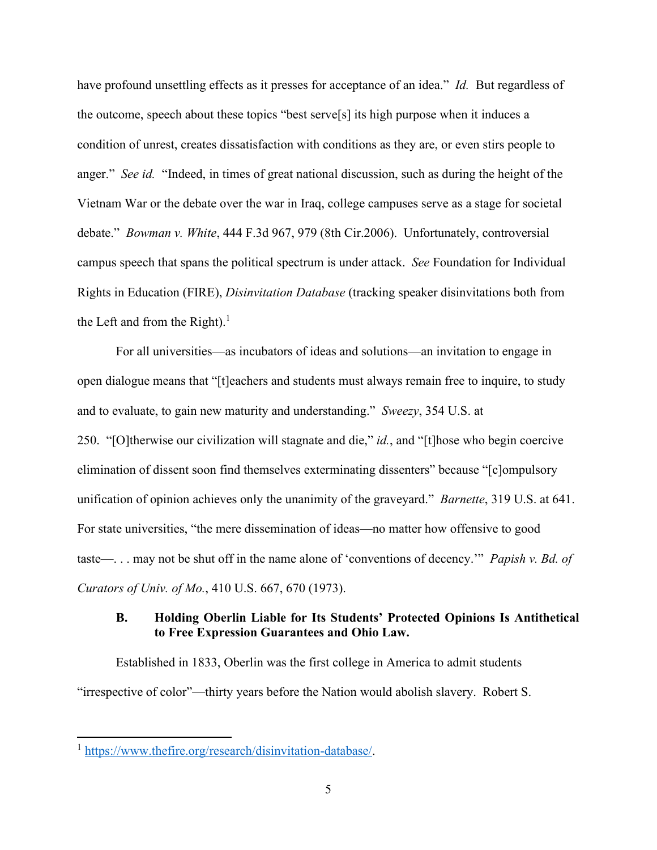<span id="page-10-4"></span>have profound unsettling effects as it presses for acceptance of an idea." *Id.* But regardless of the outcome, speech about these topics "best serve[s] its high purpose when it induces a condition of unrest, creates dissatisfaction with conditions as they are, or even stirs people to anger." *See id.* "Indeed, in times of great national discussion, such as during the height of the Vietnam War or the debate over the war in Iraq, college campuses serve as a stage for societal debate." *Bowman v. White*, 444 F.3d 967, 979 (8th Cir.2006). Unfortunately, controversial campus speech that spans the political spectrum is under attack. *See* Foundation for Individual Rights in Education (FIRE), *Disinvitation Database* (tracking speaker disinvitations both from the Left and from the Right)[.](#page-10-8)<sup>1</sup>

<span id="page-10-3"></span><span id="page-10-1"></span>For all universities—as incubators of ideas and solutions—an invitation to engage in open dialogue means that "[t]eachers and students must always remain free to inquire, to study and to evaluate, to gain new maturity and understanding." *Sweezy*, 354 U.S. at 250. "[O]therwise our civilization will stagnate and die," *id.*, and "[t]hose who begin coercive elimination of dissent soon find themselves exterminating dissenters" because "[c]ompulsory unification of opinion achieves only the unanimity of the graveyard." *Barnette*, 319 U.S. at 641. For state universities, "the mere dissemination of ideas—no matter how offensive to good taste—. . . may not be shut off in the name alone of 'conventions of decency.'" *Papish v. Bd. of Curators of Univ. of Mo.*, 410 U.S. 667, 670 (1973).

## <span id="page-10-7"></span><span id="page-10-5"></span><span id="page-10-2"></span><span id="page-10-0"></span>**B. Holding Oberlin Liable for Its Students' Protected Opinions Is Antithetical to Free Expression Guarantees and Ohio Law.**

Established in 1833, Oberlin was the first college in America to admit students "irrespective of color"—thirty years before the Nation would abolish slavery. Robert S.

<span id="page-10-8"></span><span id="page-10-6"></span><sup>&</sup>lt;sup>1</sup> [https://www.thefire.org/research/disinvitation-database/.](https://www.thefire.org/research/disinvitation-database/)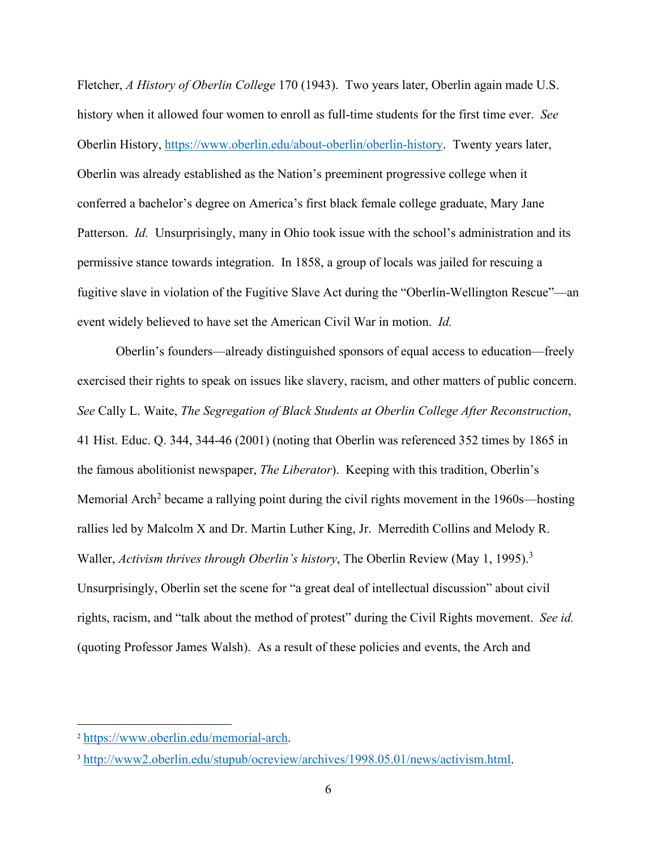<span id="page-11-5"></span>Fletcher, *A History of Oberlin College* 170 (1943). Two years later, Oberlin again made U.S. history when it allowed four women to enroll as full-time students for the first time ever. *See*  Oberlin History, [https://www.oberlin.edu/about-oberlin/oberlin-history.](https://www.oberlin.edu/about-oberlin/oberlin-history) Twenty years later, Oberlin was already established as the Nation's preeminent progressive college when it conferred a bachelor's degree on America's first black female college graduate, Mary Jane Patterson. *Id.* Unsurprisingly, many in Ohio took issue with the school's administration and its permissive stance towards integration. In 1858, a group of locals was jailed for rescuing a fugitive slave in violation of the Fugitive Slave Act during the "Oberlin-Wellington Rescue"—an event widely believed to have set the American Civil War in motion. *Id.* 

<span id="page-11-4"></span><span id="page-11-1"></span><span id="page-11-0"></span>Oberlin's founders—already distinguished sponsors of equal access to education—freely exercised their rights to speak on issues like slavery, racism, and other matters of public concern. *See* Cally L. Waite, *The Segregation of Black Students at Oberlin College After Reconstruction*, 41 Hist. Educ. Q. 344, 344-46 (2001) (noting that Oberlin was referenced 352 times by 1865 in the famous abolitionist newspaper, *The Liberator*). Keeping with this tradition, Oberlin's MemorialArch<sup>2</sup> became a rallying point during the civil rights movement in the  $1960s$ —hosting rallies led by Malcolm X and Dr. Martin Luther King, Jr. Merredith Collins and Melody R. Waller, *Activism thrives through Oberlin's history*, The Oberlin Review (May 1, 1995).[3](#page-11-7) Unsurprisingly, Oberlin set the scene for "a great deal of intellectual discussion" about civil rights, racism, and "talk about the method of protest" during the Civil Rights movement. *See id.* (quoting Professor James Walsh). As a result of these policies and events, the Arch and

<span id="page-11-6"></span><span id="page-11-3"></span><sup>2</sup> [https://www.oberlin.edu/memorial-arch.](https://www.oberlin.edu/memorial-arch)

<span id="page-11-7"></span><span id="page-11-2"></span><sup>3</sup> [http://www2.oberlin.edu/stupub/ocreview/archives/1998.05.01/news/activism.html.](http://www2.oberlin.edu/stupub/ocreview/archives/1998.05.01/news/activism.html)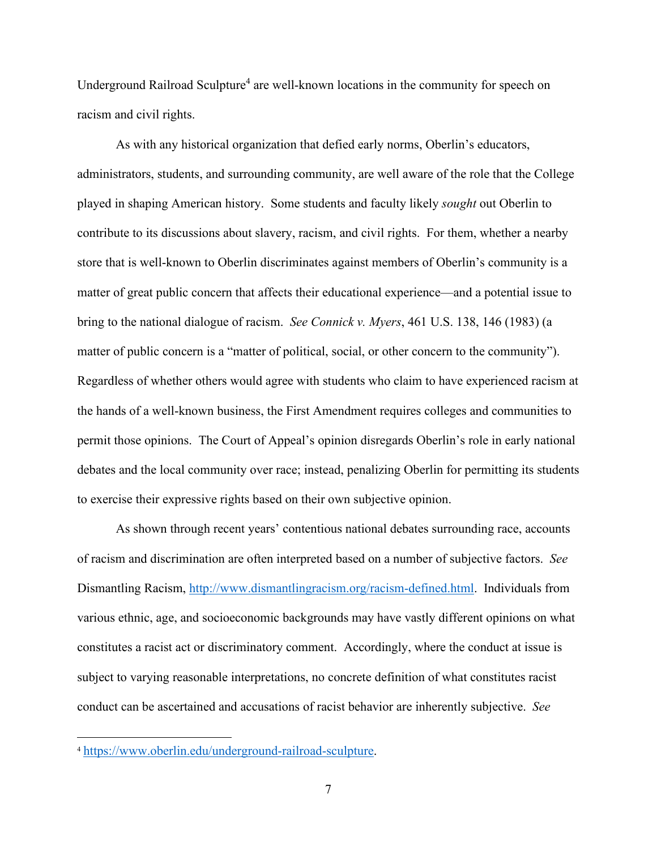UndergroundRailroad Sculpture<sup>4</sup> are well-known locations in the community for speech on racism and civil rights.

<span id="page-12-0"></span>As with any historical organization that defied early norms, Oberlin's educators, administrators, students, and surrounding community, are well aware of the role that the College played in shaping American history. Some students and faculty likely *sought* out Oberlin to contribute to its discussions about slavery, racism, and civil rights. For them, whether a nearby store that is well-known to Oberlin discriminates against members of Oberlin's community is a matter of great public concern that affects their educational experience—and a potential issue to bring to the national dialogue of racism. *See Connick v. Myers*, 461 U.S. 138, 146 (1983) (a matter of public concern is a "matter of political, social, or other concern to the community"). Regardless of whether others would agree with students who claim to have experienced racism at the hands of a well-known business, the First Amendment requires colleges and communities to permit those opinions. The Court of Appeal's opinion disregards Oberlin's role in early national debates and the local community over race; instead, penalizing Oberlin for permitting its students to exercise their expressive rights based on their own subjective opinion.

<span id="page-12-2"></span><span id="page-12-1"></span>As shown through recent years' contentious national debates surrounding race, accounts of racism and discrimination are often interpreted based on a number of subjective factors. *See*  Dismantling Racism, [http://www.dismantlingracism.org/racism-defined.html.](http://www.dismantlingracism.org/racism-defined.html) Individuals from various ethnic, age, and socioeconomic backgrounds may have vastly different opinions on what constitutes a racist act or discriminatory comment. Accordingly, where the conduct at issue is subject to varying reasonable interpretations, no concrete definition of what constitutes racist conduct can be ascertained and accusations of racist behavior are inherently subjective. *See* 

<span id="page-12-4"></span><span id="page-12-3"></span><sup>4</sup> [https://www.oberlin.edu/underground-railroad-sculpture.](https://www.oberlin.edu/underground-railroad-sculpture)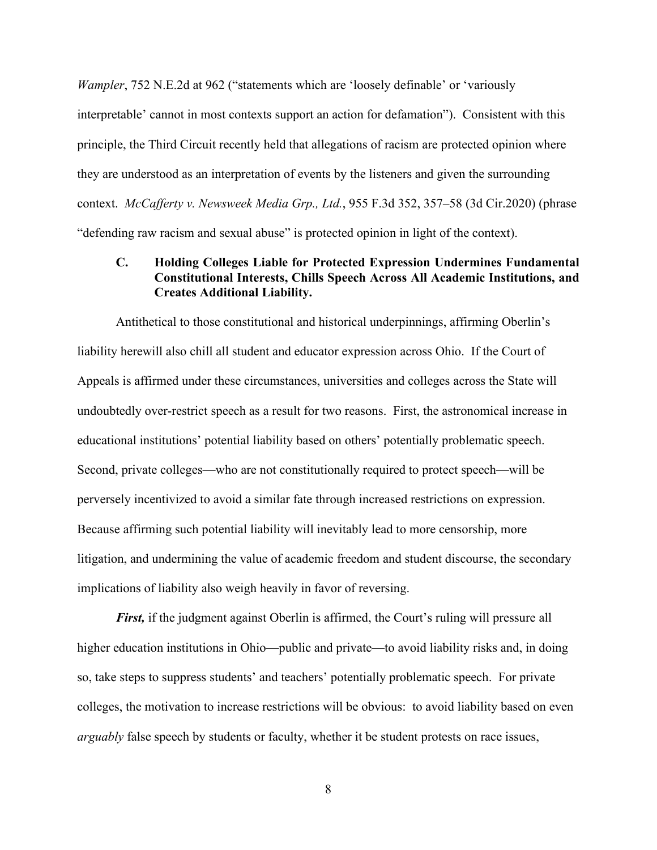<span id="page-13-2"></span>*Wampler*, 752 N.E.2d at 962 ("statements which are 'loosely definable' or 'variously interpretable' cannot in most contexts support an action for defamation"). Consistent with this principle, the Third Circuit recently held that allegations of racism are protected opinion where they are understood as an interpretation of events by the listeners and given the surrounding context. *McCafferty v. Newsweek Media Grp., Ltd.*, 955 F.3d 352, 357–58 (3d Cir.2020) (phrase "defending raw racism and sexual abuse" is protected opinion in light of the context).

## <span id="page-13-1"></span><span id="page-13-0"></span>**C. Holding Colleges Liable for Protected Expression Undermines Fundamental Constitutional Interests, Chills Speech Across All Academic Institutions, and Creates Additional Liability.**

Antithetical to those constitutional and historical underpinnings, affirming Oberlin's liability herewill also chill all student and educator expression across Ohio. If the Court of Appeals is affirmed under these circumstances, universities and colleges across the State will undoubtedly over-restrict speech as a result for two reasons. First, the astronomical increase in educational institutions' potential liability based on others' potentially problematic speech. Second, private colleges—who are not constitutionally required to protect speech—will be perversely incentivized to avoid a similar fate through increased restrictions on expression. Because affirming such potential liability will inevitably lead to more censorship, more litigation, and undermining the value of academic freedom and student discourse, the secondary implications of liability also weigh heavily in favor of reversing.

*First,* if the judgment against Oberlin is affirmed, the Court's ruling will pressure all higher education institutions in Ohio—public and private—to avoid liability risks and, in doing so, take steps to suppress students' and teachers' potentially problematic speech. For private colleges, the motivation to increase restrictions will be obvious: to avoid liability based on even *arguably* false speech by students or faculty, whether it be student protests on race issues,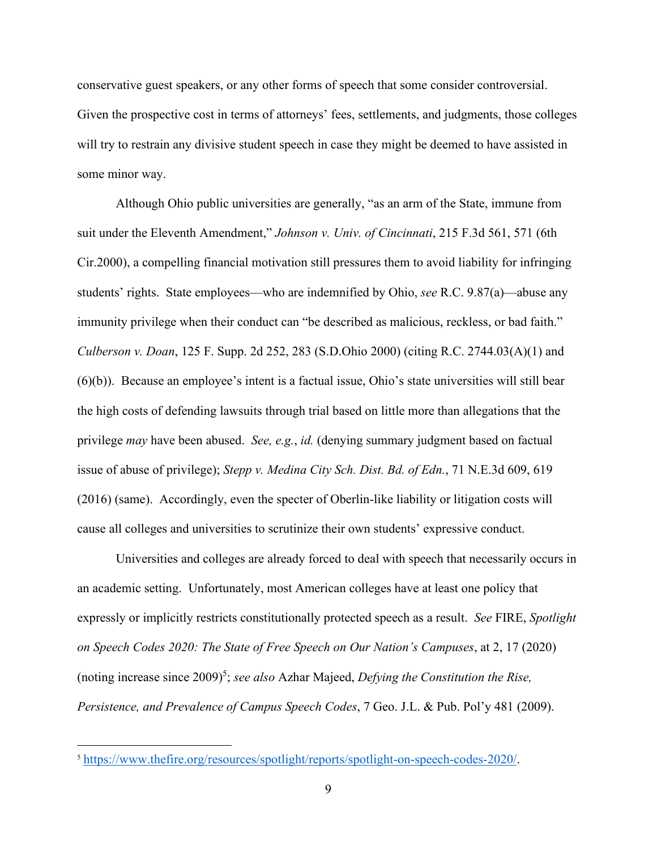conservative guest speakers, or any other forms of speech that some consider controversial. Given the prospective cost in terms of attorneys' fees, settlements, and judgments, those colleges will try to restrain any divisive student speech in case they might be deemed to have assisted in some minor way.

<span id="page-14-4"></span><span id="page-14-3"></span><span id="page-14-1"></span><span id="page-14-0"></span>Although Ohio public universities are generally, "as an arm of the State, immune from suit under the Eleventh Amendment," *Johnson v. Univ. of Cincinnati*, 215 F.3d 561, 571 (6th Cir.2000), a compelling financial motivation still pressures them to avoid liability for infringing students' rights. State employees—who are indemnified by Ohio, *see* R.C. 9.87(a)—abuse any immunity privilege when their conduct can "be described as malicious, reckless, or bad faith." *Culberson v. Doan*, 125 F. Supp. 2d 252, 283 (S.D.Ohio 2000) (citing R.C. 2744.03(A)(1) and (6)(b)). Because an employee's intent is a factual issue, Ohio's state universities will still bear the high costs of defending lawsuits through trial based on little more than allegations that the privilege *may* have been abused. *See, e.g.*, *id.* (denying summary judgment based on factual issue of abuse of privilege); *Stepp v. Medina City Sch. Dist. Bd. of Edn.*, 71 N.E.3d 609, 619 (2016) (same). Accordingly, even the specter of Oberlin-like liability or litigation costs will cause all colleges and universities to scrutinize their own students' expressive conduct.

<span id="page-14-6"></span><span id="page-14-2"></span>Universities and colleges are already forced to deal with speech that necessarily occurs in an academic setting. Unfortunately, most American colleges have at least one policy that expressly or implicitly restricts constitutionally protected speech as a result. *See* FIRE, *Spotlight on Speech Codes 2020: The State of Free Speech on Our Nation's Campuses*, at 2, 17 (2020) (noting increase since 2009[\)](#page-14-8)<sup>5</sup>; *see also* Azhar Majeed, *Defying the Constitution the Rise*, *Persistence, and Prevalence of Campus Speech Codes*, 7 Geo. J.L. & Pub. Pol'y 481 (2009).

<span id="page-14-8"></span><span id="page-14-7"></span><span id="page-14-5"></span><sup>5</sup> [https://www.thefire.org/resources/spotlight/reports/spotlight-on-speech-codes-2020/.](https://www.thefire.org/resources/spotlight/reports/spotlight-on-speech-codes-2020/)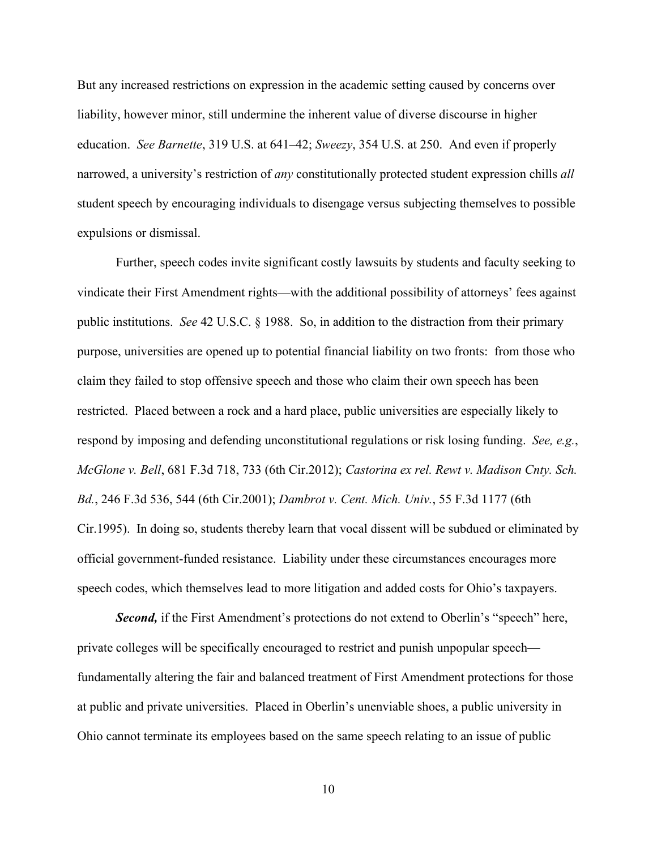<span id="page-15-4"></span><span id="page-15-3"></span>But any increased restrictions on expression in the academic setting caused by concerns over liability, however minor, still undermine the inherent value of diverse discourse in higher education. *See Barnette*, 319 U.S. at 641–42; *Sweezy*, 354 U.S. at 250. And even if properly narrowed, a university's restriction of *any* constitutionally protected student expression chills *all* student speech by encouraging individuals to disengage versus subjecting themselves to possible expulsions or dismissal.

<span id="page-15-6"></span><span id="page-15-5"></span>Further, speech codes invite significant costly lawsuits by students and faculty seeking to vindicate their First Amendment rights—with the additional possibility of attorneys' fees against public institutions. *See* 42 U.S.C. § 1988. So, in addition to the distraction from their primary purpose, universities are opened up to potential financial liability on two fronts: from those who claim they failed to stop offensive speech and those who claim their own speech has been restricted. Placed between a rock and a hard place, public universities are especially likely to respond by imposing and defending unconstitutional regulations or risk losing funding. *See, e.g.*, *McGlone v. Bell*, 681 F.3d 718, 733 (6th Cir.2012); *Castorina ex rel. Rewt v. Madison Cnty. Sch. Bd.*, 246 F.3d 536, 544 (6th Cir.2001); *Dambrot v. Cent. Mich. Univ.*, 55 F.3d 1177 (6th Cir.1995). In doing so, students thereby learn that vocal dissent will be subdued or eliminated by official government-funded resistance. Liability under these circumstances encourages more speech codes, which themselves lead to more litigation and added costs for Ohio's taxpayers.

<span id="page-15-2"></span><span id="page-15-1"></span><span id="page-15-0"></span>**Second,** if the First Amendment's protections do not extend to Oberlin's "speech" here, private colleges will be specifically encouraged to restrict and punish unpopular speech fundamentally altering the fair and balanced treatment of First Amendment protections for those at public and private universities. Placed in Oberlin's unenviable shoes, a public university in Ohio cannot terminate its employees based on the same speech relating to an issue of public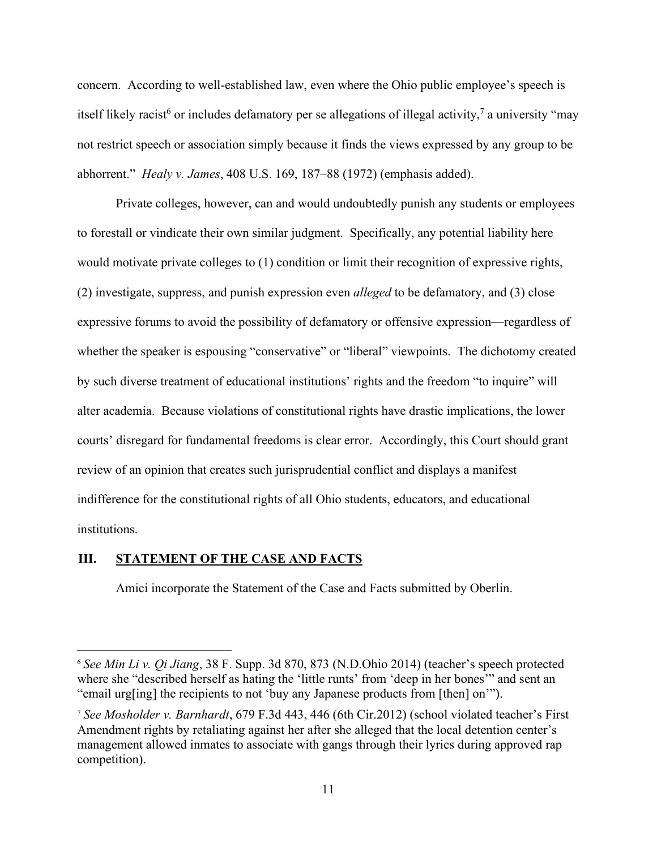concern. According to well-established law, even where the Ohio public employee's speech is itselflikely racist<sup>6</sup> or includes defamatory per se allegations of illegal activity,<sup>7</sup> a university "may not restrict speech or association simply because it finds the views expressed by any group to be abhorrent." *Healy v. James*, 408 U.S. 169, 187–88 (1972) (emphasis added).

<span id="page-16-1"></span>Private colleges, however, can and would undoubtedly punish any students or employees to forestall or vindicate their own similar judgment. Specifically, any potential liability here would motivate private colleges to (1) condition or limit their recognition of expressive rights, (2) investigate, suppress, and punish expression even *alleged* to be defamatory, and (3) close expressive forums to avoid the possibility of defamatory or offensive expression—regardless of whether the speaker is espousing "conservative" or "liberal" viewpoints. The dichotomy created by such diverse treatment of educational institutions' rights and the freedom "to inquire" will alter academia. Because violations of constitutional rights have drastic implications, the lower courts' disregard for fundamental freedoms is clear error. Accordingly, this Court should grant review of an opinion that creates such jurisprudential conflict and displays a manifest indifference for the constitutional rights of all Ohio students, educators, and educational institutions.

### <span id="page-16-0"></span>**III. STATEMENT OF THE CASE AND FACTS**

<span id="page-16-4"></span>Amici incorporate the Statement of the Case and Facts submitted by Oberlin.

<span id="page-16-5"></span><span id="page-16-2"></span><sup>6</sup> *See Min Li v. Qi Jiang*, 38 F. Supp. 3d 870, 873 (N.D.Ohio 2014) (teacher's speech protected where she "described herself as hating the 'little runts' from 'deep in her bones'" and sent an "email urg[ing] the recipients to not 'buy any Japanese products from [then] on'").

<span id="page-16-6"></span><span id="page-16-3"></span><sup>7</sup> *See Mosholder v. Barnhardt*, 679 F.3d 443, 446 (6th Cir.2012) (school violated teacher's First Amendment rights by retaliating against her after she alleged that the local detention center's management allowed inmates to associate with gangs through their lyrics during approved rap competition).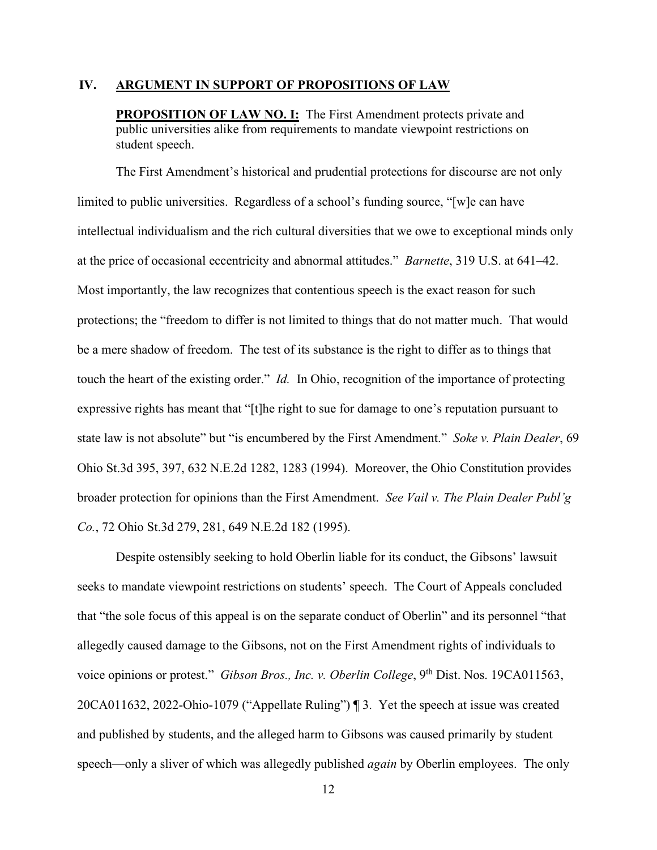#### <span id="page-17-0"></span>**IV. ARGUMENT IN SUPPORT OF PROPOSITIONS OF LAW**

<span id="page-17-4"></span>**PROPOSITION OF LAW NO. I:** The First Amendment protects private and public universities alike from requirements to mandate viewpoint restrictions on student speech.

The First Amendment's historical and prudential protections for discourse are not only limited to public universities. Regardless of a school's funding source, "[w]e can have intellectual individualism and the rich cultural diversities that we owe to exceptional minds only at the price of occasional eccentricity and abnormal attitudes." *Barnette*, 319 U.S. at 641–42. Most importantly, the law recognizes that contentious speech is the exact reason for such protections; the "freedom to differ is not limited to things that do not matter much. That would be a mere shadow of freedom. The test of its substance is the right to differ as to things that touch the heart of the existing order." *Id.* In Ohio, recognition of the importance of protecting expressive rights has meant that "[t]he right to sue for damage to one's reputation pursuant to state law is not absolute" but "is encumbered by the First Amendment." *Soke v. Plain Dealer*, 69 Ohio St.3d 395, 397, 632 N.E.2d 1282, 1283 (1994). Moreover, the Ohio Constitution provides broader protection for opinions than the First Amendment. *See Vail v. The Plain Dealer Publ'g Co.*, 72 Ohio St.3d 279, 281, 649 N.E.2d 182 (1995).

<span id="page-17-6"></span><span id="page-17-5"></span><span id="page-17-3"></span><span id="page-17-2"></span><span id="page-17-1"></span>Despite ostensibly seeking to hold Oberlin liable for its conduct, the Gibsons' lawsuit seeks to mandate viewpoint restrictions on students' speech. The Court of Appeals concluded that "the sole focus of this appeal is on the separate conduct of Oberlin" and its personnel "that allegedly caused damage to the Gibsons, not on the First Amendment rights of individuals to voice opinions or protest." *Gibson Bros., Inc. v. Oberlin College*, 9<sup>th</sup> Dist. Nos. 19CA011563, 20CA011632, 2022-Ohio-1079 ("Appellate Ruling") ¶ 3. Yet the speech at issue was created and published by students, and the alleged harm to Gibsons was caused primarily by student speech—only a sliver of which was allegedly published *again* by Oberlin employees. The only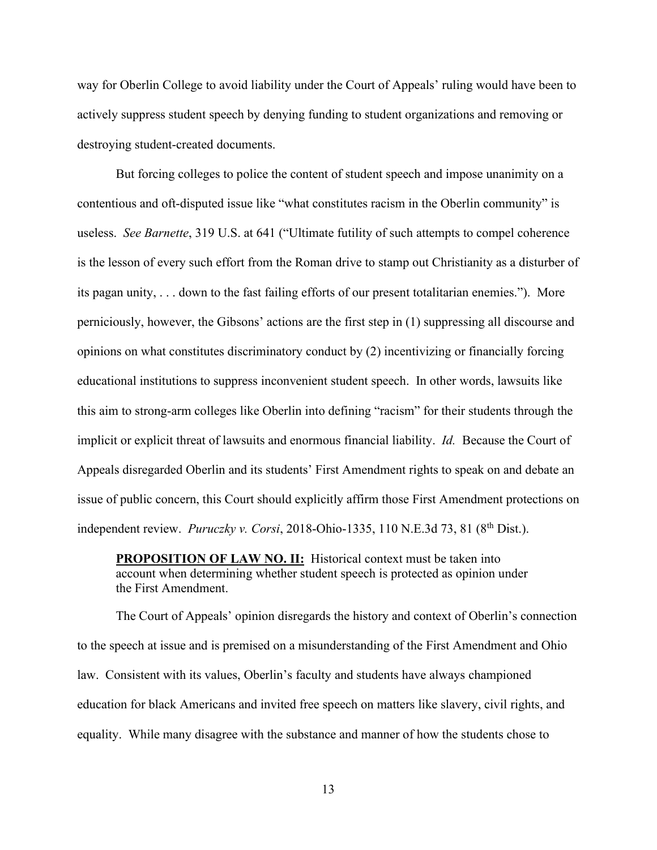way for Oberlin College to avoid liability under the Court of Appeals' ruling would have been to actively suppress student speech by denying funding to student organizations and removing or destroying student-created documents.

<span id="page-18-1"></span>But forcing colleges to police the content of student speech and impose unanimity on a contentious and oft-disputed issue like "what constitutes racism in the Oberlin community" is useless. *See Barnette*, 319 U.S. at 641 ("Ultimate futility of such attempts to compel coherence is the lesson of every such effort from the Roman drive to stamp out Christianity as a disturber of its pagan unity, . . . down to the fast failing efforts of our present totalitarian enemies."). More perniciously, however, the Gibsons' actions are the first step in (1) suppressing all discourse and opinions on what constitutes discriminatory conduct by (2) incentivizing or financially forcing educational institutions to suppress inconvenient student speech. In other words, lawsuits like this aim to strong-arm colleges like Oberlin into defining "racism" for their students through the implicit or explicit threat of lawsuits and enormous financial liability. *Id.* Because the Court of Appeals disregarded Oberlin and its students' First Amendment rights to speak on and debate an issue of public concern, this Court should explicitly affirm those First Amendment protections on independent review. *Puruczky v. Corsi*, 2018-Ohio-1335, 110 N.E.3d 73, 81 (8th Dist.).

<span id="page-18-2"></span><span id="page-18-0"></span>**PROPOSITION OF LAW NO. II:** Historical context must be taken into account when determining whether student speech is protected as opinion under the First Amendment.

The Court of Appeals' opinion disregards the history and context of Oberlin's connection to the speech at issue and is premised on a misunderstanding of the First Amendment and Ohio law. Consistent with its values, Oberlin's faculty and students have always championed education for black Americans and invited free speech on matters like slavery, civil rights, and equality. While many disagree with the substance and manner of how the students chose to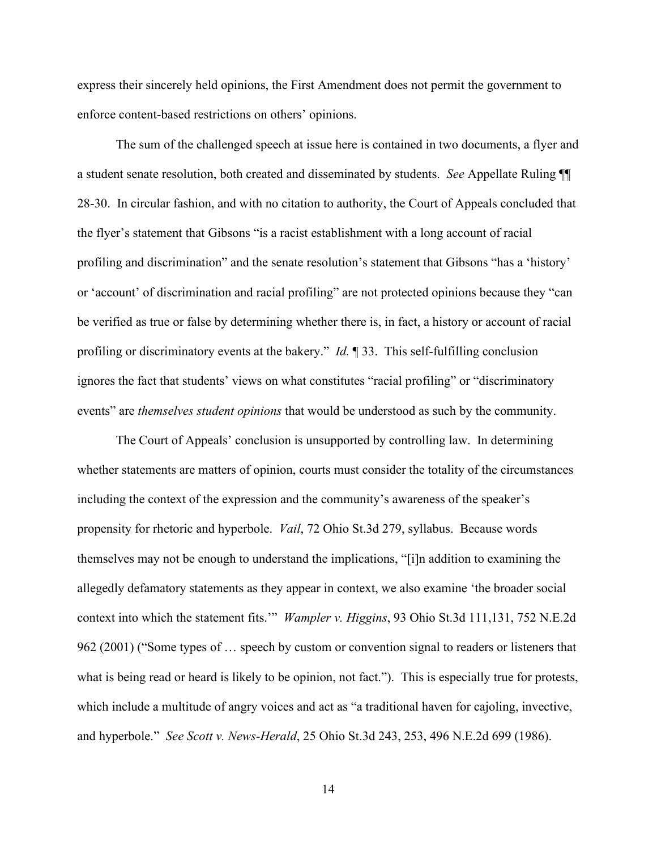<span id="page-19-4"></span>express their sincerely held opinions, the First Amendment does not permit the government to enforce content-based restrictions on others' opinions.

<span id="page-19-0"></span>The sum of the challenged speech at issue here is contained in two documents, a flyer and a student senate resolution, both created and disseminated by students. *See* Appellate Ruling ¶¶ 28-30. In circular fashion, and with no citation to authority, the Court of Appeals concluded that the flyer's statement that Gibsons "is a racist establishment with a long account of racial profiling and discrimination" and the senate resolution's statement that Gibsons "has a 'history' or 'account' of discrimination and racial profiling" are not protected opinions because they "can be verified as true or false by determining whether there is, in fact, a history or account of racial profiling or discriminatory events at the bakery." *Id.* ¶ 33. This self-fulfilling conclusion ignores the fact that students' views on what constitutes "racial profiling" or "discriminatory events" are *themselves student opinions* that would be understood as such by the community.

<span id="page-19-3"></span><span id="page-19-2"></span><span id="page-19-1"></span>The Court of Appeals' conclusion is unsupported by controlling law. In determining whether statements are matters of opinion, courts must consider the totality of the circumstances including the context of the expression and the community's awareness of the speaker's propensity for rhetoric and hyperbole. *Vail*, 72 Ohio St.3d 279, syllabus.Because words themselves may not be enough to understand the implications, "[i]n addition to examining the allegedly defamatory statements as they appear in context, we also examine 'the broader social context into which the statement fits.'" *Wampler v. Higgins*, 93 Ohio St.3d 111,131, 752 N.E.2d 962 (2001) ("Some types of … speech by custom or convention signal to readers or listeners that what is being read or heard is likely to be opinion, not fact."). This is especially true for protests, which include a multitude of angry voices and act as "a traditional haven for cajoling, invective, and hyperbole." *See Scott v. News-Herald*, 25 Ohio St.3d 243, 253, 496 N.E.2d 699 (1986).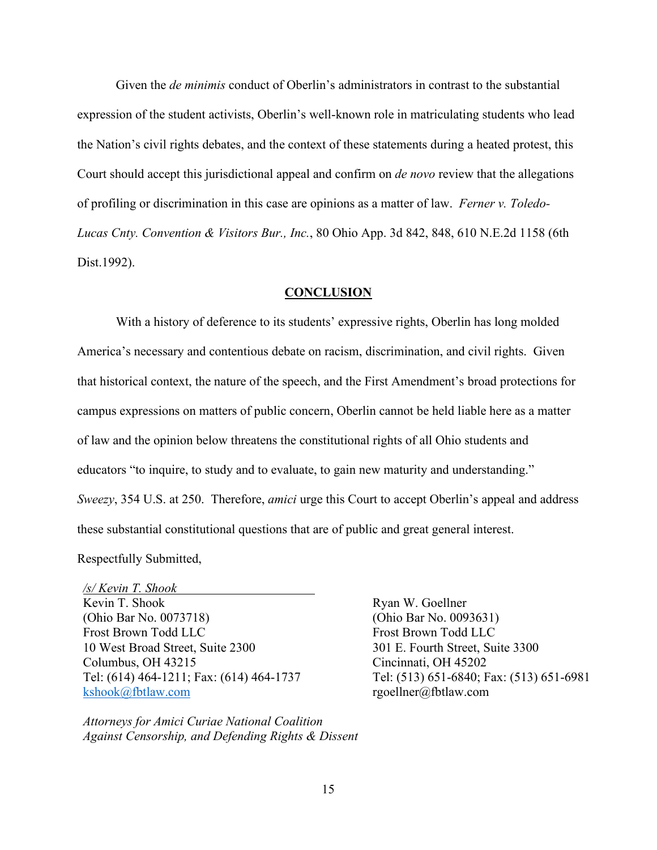Given the *de minimis* conduct of Oberlin's administrators in contrast to the substantial expression of the student activists, Oberlin's well-known role in matriculating students who lead the Nation's civil rights debates, and the context of these statements during a heated protest, this Court should accept this jurisdictional appeal and confirm on *de novo* review that the allegations of profiling or discrimination in this case are opinions as a matter of law. *Ferner v. Toledo-Lucas Cnty. Convention & Visitors Bur., Inc.*, 80 Ohio App. 3d 842, 848, 610 N.E.2d 1158 (6th Dist.1992).

#### <span id="page-20-1"></span>**CONCLUSION**

<span id="page-20-0"></span>With a history of deference to its students' expressive rights, Oberlin has long molded America's necessary and contentious debate on racism, discrimination, and civil rights. Given that historical context, the nature of the speech, and the First Amendment's broad protections for campus expressions on matters of public concern, Oberlin cannot be held liable here as a matter of law and the opinion below threatens the constitutional rights of all Ohio students and educators "to inquire, to study and to evaluate, to gain new maturity and understanding." *Sweezy*, 354 U.S. at 250. Therefore, *amici* urge this Court to accept Oberlin's appeal and address these substantial constitutional questions that are of public and great general interest. Respectfully Submitted,

<span id="page-20-2"></span>*/s/ Kevin T. Shook* Kevin T. Shook (Ohio Bar No. 0073718) Frost Brown Todd LLC 10 West Broad Street, Suite 2300 Columbus, OH 43215 Tel: (614) 464-1211; Fax: (614) 464-1737 kshook@fbtlaw.com

*Attorneys for Amici Curiae National Coalition Against Censorship, and Defending Rights & Dissent*  Ryan W. Goellner (Ohio Bar No. 0093631) Frost Brown Todd LLC 301 E. Fourth Street, Suite 3300 Cincinnati, OH 45202 Tel: (513) 651-6840; Fax: (513) 651-6981 rgoellner@fbtlaw.com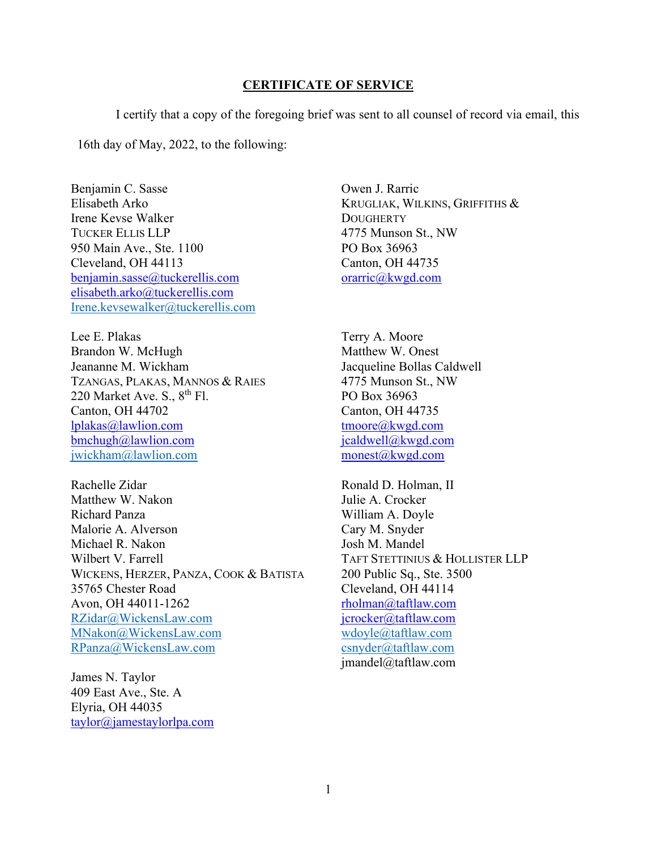#### **CERTIFICATE OF SERVICE**

<span id="page-21-0"></span>I certify that a copy of the foregoing brief was sent to all counsel of record via email, this 16th day of May, 2022, to the following:

Benjamin C. Sasse Elisabeth Arko Irene Kevse Walker TUCKER ELLIS LLP 950 Main Ave., Ste. 1100 Cleveland, OH 44113 benjamin.sasse@tuckerellis.com elisabeth.arko@tuckerellis.com Irene.kevsewalker@tuckerellis.com

Lee E. Plakas Brandon W. McHugh Jeananne M. Wickham TZANGAS, PLAKAS, MANNOS & RAIES 220 Market Ave. S.,  $8^{th}$  Fl. Canton, OH 44702 lplakas@lawlion.com bmchugh@lawlion.com jwickham@lawlion.com

Rachelle Zidar Matthew W. Nakon Richard Panza Malorie A. Alverson Michael R. Nakon Wilbert V. Farrell WICKENS, HERZER, PANZA, COOK & BATISTA 35765 Chester Road Avon, OH 44011-1262 RZidar@WickensLaw.com MNakon@WickensLaw.com RPanza@WickensLaw.com

James N. Taylor 409 East Ave., Ste. A Elyria, OH 44035 taylor@jamestaylorlpa.com Owen J. Rarric KRUGLIAK, WILKINS, GRIFFITHS & **DOUGHERTY** 4775 Munson St., NW PO Box 36963 Canton, OH 44735 orarric@kwgd.com

Terry A. Moore Matthew W. Onest Jacqueline Bollas Caldwell 4775 Munson St., NW PO Box 36963 Canton, OH 44735 tmoore@kwgd.com jcaldwell@kwgd.com monest@kwgd.com

Ronald D. Holman, II Julie A. Crocker William A. Doyle Cary M. Snyder Josh M. Mandel TAFT STETTINIUS & HOLLISTER LLP 200 Public Sq., Ste. 3500 Cleveland, OH 44114 rholman@taftlaw.com jcrocker@taftlaw.com wdoyle@taftlaw.com csnyder@taftlaw.com jmandel@taftlaw.com